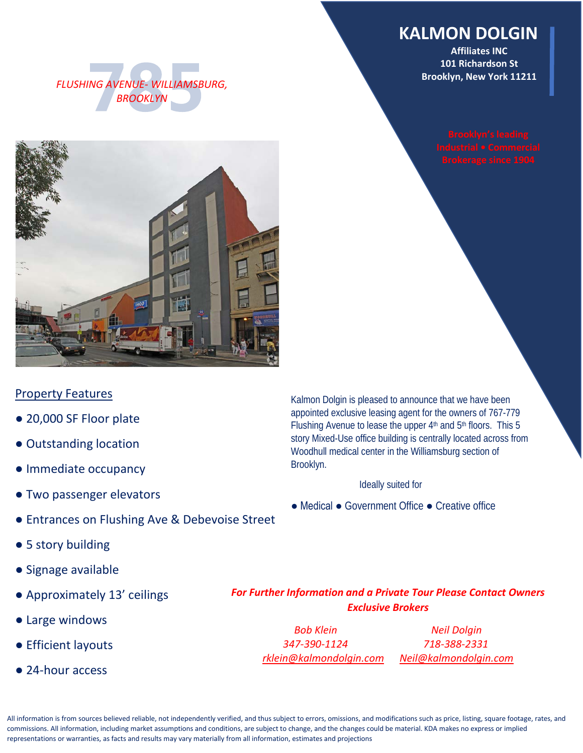### **KALMON DOLGIN**

**Affiliates INC 101 Richardson St Brooklyn, New York 11211**





#### Property Features

- 20,000 SF Floor plate
- Outstanding location
- Immediate occupancy
- Two passenger elevators
- Entrances on Flushing Ave & Debevoise Street
- 5 story building
- Signage available
- Approximately 13' ceilings
- Large windows
- Efficient layouts
- 24-hour access

Kalmon Dolgin is pleased to announce that we have been appointed exclusive leasing agent for the owners of 767-779 Flushing Avenue to lease the upper  $4<sup>th</sup>$  and  $5<sup>th</sup>$  floors. This 5 story Mixed-Use office building is centrally located across from Woodhull medical center in the Williamsburg section of Brooklyn.

Ideally suited for

● Medical ● Government Office ● Creative office

*For Further Information and a Private Tour Please Contact Owners Exclusive Brokers*

*Bob Klein Neil Dolgin 347-390-1124 718-388-2331 [rklein@kalmondolgin.com](mailto:rklein@kalmondolgin.com) [Neil@kalmondolgin.com](mailto:Neil@kalmondolgin.com)*

All information is from sources believed reliable, not independently verified, and thus subject to errors, omissions, and modifications such as price, listing, square footage, rates, and commissions. All information, including market assumptions and conditions, are subject to change, and the changes could be material. KDA makes no express or implied representations or warranties, as facts and results may vary materially from all information, estimates and projections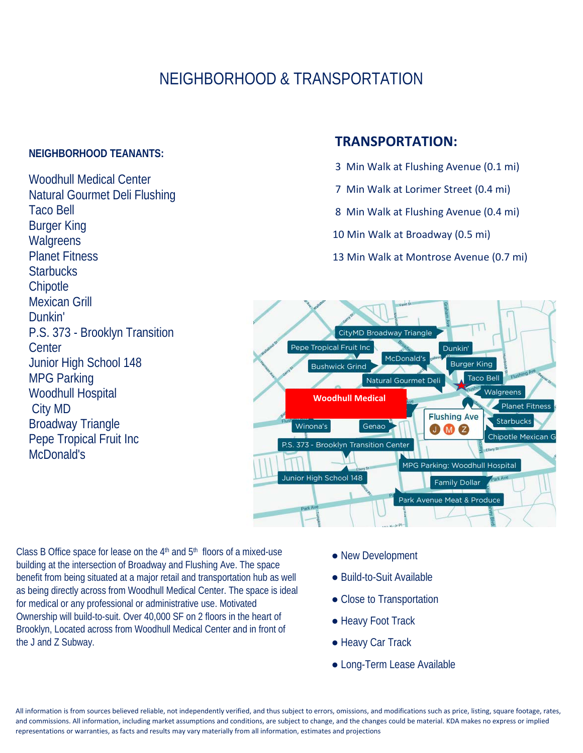## NEIGHBORHOOD & TRANSPORTATION

#### **NEIGHBORHOOD TEANANTS:**

Woodhull Medical Center Natural Gourmet Deli Flushing Taco Bell Burger King **Walgreens** Planet Fitness **Starbucks Chipotle** Mexican Grill Dunkin' P.S. 373 - Brooklyn Transition **Center** Junior High School 148 MPG Parking Woodhull Hospital City MD Broadway Triangle Pepe Tropical Fruit Inc McDonald's

#### **TRANSPORTATION:**

- 3 Min Walk at Flushing Avenue (0.1 mi)
- 7 Min Walk at Lorimer Street (0.4 mi)
- 8 Min Walk at Flushing Avenue (0.4 mi)
- 10 Min Walk at Broadway (0.5 mi)
- 13 Min Walk at Montrose Avenue (0.7 mi)



Class B Office space for lease on the  $4<sup>th</sup>$  and  $5<sup>th</sup>$  floors of a mixed-use building at the intersection of Broadway and Flushing Ave. The space benefit from being situated at a major retail and transportation hub as well as being directly across from Woodhull Medical Center. The space is ideal for medical or any professional or administrative use. Motivated Ownership will build-to-suit. Over 40,000 SF on 2 floors in the heart of Brooklyn, Located across from Woodhull Medical Center and in front of the J and Z Subway.

- New Development
- Build-to-Suit Available
- Close to Transportation
- Heavy Foot Track
- Heavy Car Track
- Long-Term Lease Available

All information is from sources believed reliable, not independently verified, and thus subject to errors, omissions, and modifications such as price, listing, square footage, rates, and commissions. All information, including market assumptions and conditions, are subject to change, and the changes could be material. KDA makes no express or implied representations or warranties, as facts and results may vary materially from all information, estimates and projections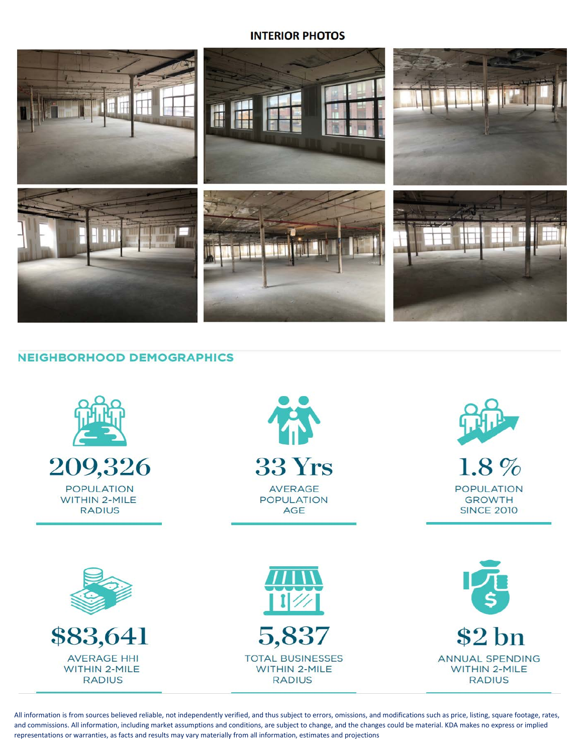#### **INTERIOR PHOTOS**



#### **NEIGHBORHOOD DEMOGRAPHICS**



All information is from sources believed reliable, not independently verified, and thus subject to errors, omissions, and modifications such as price, listing, square footage, rates, and commissions. All information, including market assumptions and conditions, are subject to change, and the changes could be material. KDA makes no express or implied representations or warranties, as facts and results may vary materially from all information, estimates and projections